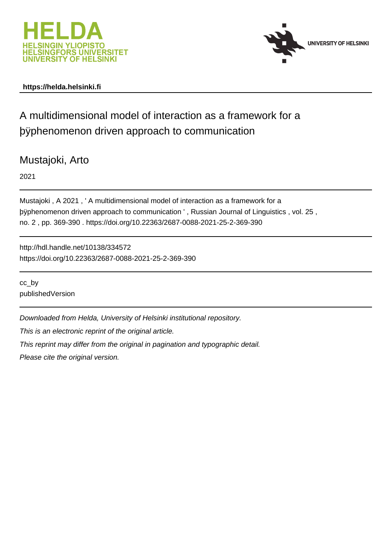



# **https://helda.helsinki.fi**

# A multidimensional model of interaction as a framework for a þÿphenomenon driven approach to communication

# Mustajoki, Arto

2021

Mustajoki , A 2021 , ' A multidimensional model of interaction as a framework for a þÿphenomenon driven approach to communication ', Russian Journal of no. 2 , pp. 369-390 . https://doi.org/10.22363/2687-0088-2021-25-2-369-390

http://hdl.handle.net/10138/334572 https://doi.org/10.22363/2687-0088-2021-25-2-369-390

cc\_by publishedVersion

Downloaded from Helda, University of Helsinki institutional repository.

This is an electronic reprint of the original article.

This reprint may differ from the original in pagination and typographic detail.

Please cite the original version.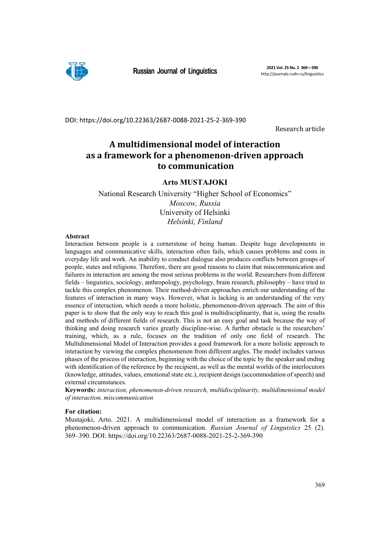

Russian Journal of Linguistics **2021 Vol. 25 No. 2 369—390**

DOI: https://doi.org/10.22363/2687‐0088‐2021‐25‐2‐369‐390

Research article

# **A multidimensional model of interaction as a framework for a phenomenon‐driven approach to communication**

# **Arto MUSTAJOKI**

National Research University "Higher School of Economics" *Moscow, Russia*  University of Helsinki *Helsinki, Finland* 

## **Abstract**

Interaction between people is a cornerstone of being human. Despite huge developments in languages and communicative skills, interaction often fails, which causes problems and costs in everyday life and work. An inability to conduct dialogue also produces conflicts between groups of people, states and religions. Therefore, there are good reasons to claim that miscommunication and failures in interaction are among the most serious problems in the world. Researchers from different fields – linguistics, sociology, anthropology, psychology, brain research, philosophy – have tried to tackle this complex phenomenon. Their method-driven approaches enrich our understanding of the features of interaction in many ways. However, what is lacking is an understanding of the very essence of interaction, which needs a more holistic, phenomenon-driven approach. The aim of this paper is to show that the only way to reach this goal is multidisciplinarity, that is, using the results and methods of different fields of research. This is not an easy goal and task because the way of thinking and doing research varies greatly discipline-wise. A further obstacle is the researchers' training, which, as a rule, focuses on the tradition of only one field of research. The Multidimensional Model of Interaction provides a good framework for a more holistic approach to interaction by viewing the complex phenomenon from different angles. The model includes various phases of the process of interaction, beginning with the choice of the topic by the speaker and ending with identification of the reference by the recipient, as well as the mental worlds of the interlocutors (knowledge, attitudes, values, emotional state etc.), recipient design (accommodation of speech) and external circumstances.

**Keywords:** *interaction, phenomenon-driven research, multidisciplinarity, multidimensional model of interaction, miscommunication*

## **For citation:**

Mustajoki, Arto. 2021. A multidimensional model of interaction as a framework for a phenomenon-driven approach to communication. *Russian Journal of Linguistics* 25 (2). 369–390. DOI: https://doi.org/10.22363/2687-0088-2021-25-2-369-390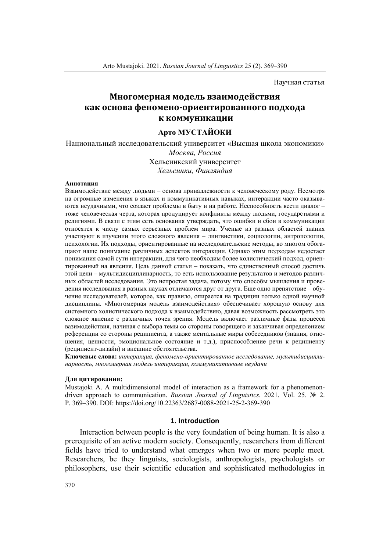Научная статья

# **Многомерная модель взаимодействия** как основа феномено-ориентированного подхода  **к коммуникации**

# **Арто МУСТАЙОКИ**

Национальный исследовательский университет «Высшая школа экономики» *Москва, Россия* Хельсинкский университет *Хельсинки, Финляндия*

#### **Аннотация**

Взаимодействие между людьми – основа принадлежности к человеческому роду. Несмотря на огромные изменения в языках и коммуникативных навыках, интеракции часто оказываются неудачными, что создает проблемы в быту и на работе. Неспособность вести диалог – тоже человеческая черта, которая продуцирует конфликты между людьми, государствами и религиями. В связи с этим есть основания утверждать, что ошибки и сбои в коммуникации относятся к числу самых серьезных проблем мира. Ученые из разных областей знания участвуют в изучении этого сложного явления – лингвистики, социологии, антропологии, психологии. Их подходы, ориентированные на исследовательские методы, во многом обогащают наше понимание различных аспектов интеракции. Однако этим подходам недостает понимания самой сути интеракции, для чего необходим более холистический подход, ориентированный на явления. Цель данной статьи – показать, что единственный способ достичь этой цели – мультидисциплинарность, то есть использование результатов и методов различных областей исследования. Это непростая задача, потому что способы мышления и проведения исследования в разных науках отличаются друг от друга. Еще одно препятствие – обучение исследователей, которое, как правило, опирается на традиции только одной научной дисциплины. «Многомерная модель взаимодействия» обеспечивает хорошую основу для системного холистического подхода к взаимодействию, давая возможность рассмотреть это сложное явление с различных точек зрения. Модель включает различные фазы процесса вазимодействия, начиная с выбора темы со стороны говорящего и заканчивая определением референции со стороны реципиента, а также ментальные миры собеседников (знания, отношения, ценности, эмоциональное состояние и т.д.), приспособление речи к реципиенту (реципиент-дизайн) и внешние обстоятельства.

**Ключевые слова:** *интеракция, феномено-ориентированное исследование, мультидисциплинарность, многомерная модель интеракции, коммуникативные неудачи*

#### **Для цитирования:**

Mustajoki A. A multidimensional model of interaction as a framework for a phenomenondriven approach to communication. *Russian Journal of Linguistics.* 2021. Vol. 25. № 2. P. 369–390. DOI: https://doi.org/10.22363/2687-0088-2021-25-2-369-390

#### **1. Introduction**

Interaction between people is the very foundation of being human. It is also a prerequisite of an active modern society. Consequently, researchers from different fields have tried to understand what emerges when two or more people meet. Researchers, be they linguists, sociologists, anthropologists, psychologists or philosophers, use their scientific education and sophisticated methodologies in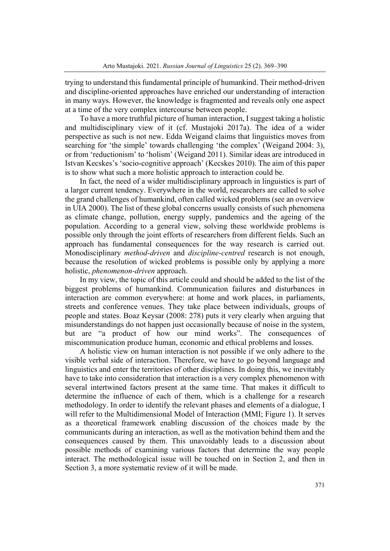trying to understand this fundamental principle of humankind. Their method-driven and discipline-oriented approaches have enriched our understanding of interaction in many ways. However, the knowledge is fragmented and reveals only one aspect at a time of the very complex intercourse between people.

To have a more truthful picture of human interaction, I suggest taking a holistic and multidisciplinary view of it (cf. Mustajoki 2017a). The idea of a wider perspective as such is not new. Edda Weigand claims that linguistics moves from searching for 'the simple' towards challenging 'the complex' (Weigand 2004: 3), or from 'reductionism' to 'holism' (Weigand 2011). Similar ideas are introduced in Istvan Kecskes's 'socio-cognitive approach' (Kecskes 2010). The aim of this paper is to show what such a more holistic approach to interaction could be.

In fact, the need of a wider multidisciplinary approach in linguistics is part of a larger current tendency. Everywhere in the world, researchers are called to solve the grand challenges of humankind, often called wicked problems (see an overview in UIA 2000). The list of these global concerns usually consists of such phenomena as climate change, pollution, energy supply, pandemics and the ageing of the population. According to a general view, solving these worldwide problems is possible only through the joint efforts of researchers from different fields. Such an approach has fundamental consequences for the way research is carried out. Monodisciplinary *method-driven* and *discipline-centred* research is not enough, because the resolution of wicked problems is possible only by applying a more holistic, *phenomenon-driven* approach.

In my view, the topic of this article could and should be added to the list of the biggest problems of humankind. Communication failures and disturbances in interaction are common everywhere: at home and work places, in parliaments, streets and conference venues. They take place between individuals, groups of people and states. Boaz Keysar (2008: 278) puts it very clearly when arguing that misunderstandings do not happen just occasionally because of noise in the system, but are "a product of how our mind works". The consequences of miscommunication produce human, economic and ethical problems and losses.

A holistic view on human interaction is not possible if we only adhere to the visible verbal side of interaction. Therefore, we have to go beyond language and linguistics and enter the territories of other disciplines. In doing this, we inevitably have to take into consideration that interaction is a very complex phenomenon with several intertwined factors present at the same time. That makes it difficult to determine the influence of each of them, which is a challenge for a research methodology. In order to identify the relevant phases and elements of a dialogue, I will refer to the Multidimensional Model of Interaction (MMI; Figure 1). It serves as a theoretical framework enabling discussion of the choices made by the communicants during an interaction, as well as the motivation behind them and the consequences caused by them. This unavoidably leads to a discussion about possible methods of examining various factors that determine the way people interact. The methodological issue will be touched on in Section 2, and then in Section 3, a more systematic review of it will be made.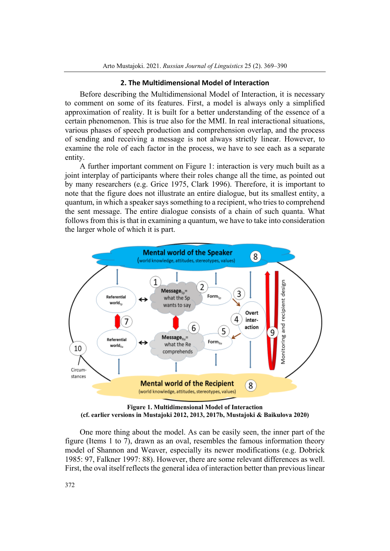# **2. The Multidimensional Model of Interaction**

Before describing the Multidimensional Model of Interaction, it is necessary to comment on some of its features. First, a model is always only a simplified approximation of reality. It is built for a better understanding of the essence of a certain phenomenon. This is true also for the MMI. In real interactional situations, various phases of speech production and comprehension overlap, and the process of sending and receiving a message is not always strictly linear. However, to examine the role of each factor in the process, we have to see each as a separate entity.

A further important comment on Figure 1: interaction is very much built as a joint interplay of participants where their roles change all the time, as pointed out by many researchers (e.g. Grice 1975, Clark 1996). Therefore, it is important to note that the figure does not illustrate an entire dialogue, but its smallest entity, a quantum, in which a speaker says something to a recipient, who tries to comprehend the sent message. The entire dialogue consists of a chain of such quanta. What follows from this is that in examining a quantum, we have to take into consideration the larger whole of which it is part.



**Figure 1. Multidimensional Model of Interaction (cf. earlier versions in Mustajoki 2012, 2013, 2017b, Mustajoki & Baikulova 2020)** 

One more thing about the model. As can be easily seen, the inner part of the figure (Items 1 to 7), drawn as an oval, resembles the famous information theory model of Shannon and Weaver, especially its newer modifications (e.g. Dobrick 1985: 97, Falkner 1997: 88). However, there are some relevant differences as well. First, the oval itself reflects the general idea of interaction better than previous linear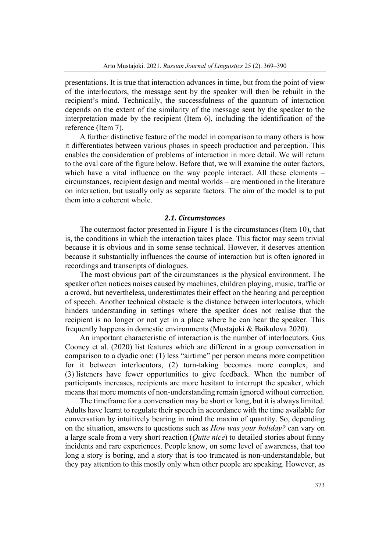presentations. It is true that interaction advances in time, but from the point of view of the interlocutors, the message sent by the speaker will then be rebuilt in the recipient's mind. Technically, the successfulness of the quantum of interaction depends on the extent of the similarity of the message sent by the speaker to the interpretation made by the recipient (Item 6), including the identification of the reference (Item 7).

A further distinctive feature of the model in comparison to many others is how it differentiates between various phases in speech production and perception. This enables the consideration of problems of interaction in more detail. We will return to the oval core of the figure below. Before that, we will examine the outer factors, which have a vital influence on the way people interact. All these elements – circumstances, recipient design and mental worlds – are mentioned in the literature on interaction, but usually only as separate factors. The aim of the model is to put them into a coherent whole.

#### *2.1. Circumstances*

The outermost factor presented in Figure 1 is the circumstances (Item 10), that is, the conditions in which the interaction takes place. This factor may seem trivial because it is obvious and in some sense technical. However, it deserves attention because it substantially influences the course of interaction but is often ignored in recordings and transcripts of dialogues.

The most obvious part of the circumstances is the physical environment. The speaker often notices noises caused by machines, children playing, music, traffic or a crowd, but nevertheless, underestimates their effect on the hearing and perception of speech. Another technical obstacle is the distance between interlocutors, which hinders understanding in settings where the speaker does not realise that the recipient is no longer or not yet in a place where he can hear the speaker. This frequently happens in domestic environments (Mustajoki & Baikulova 2020).

An important characteristic of interaction is the number of interlocutors. Gus Cooney et al. (2020) list features which are different in a group conversation in comparison to a dyadic one: (1) less "airtime" per person means more competition for it between interlocutors, (2) turn-taking becomes more complex, and (3) listeners have fewer opportunities to give feedback. When the number of participants increases, recipients are more hesitant to interrupt the speaker, which means that more moments of non-understanding remain ignored without correction.

The timeframe for a conversation may be short or long, but it is always limited. Adults have learnt to regulate their speech in accordance with the time available for conversation by intuitively bearing in mind the maxim of quantity. So, depending on the situation, answers to questions such as *How was your holiday?* can vary on a large scale from a very short reaction (*Quite nice*) to detailed stories about funny incidents and rare experiences. People know, on some level of awareness, that too long a story is boring, and a story that is too truncated is non-understandable, but they pay attention to this mostly only when other people are speaking. However, as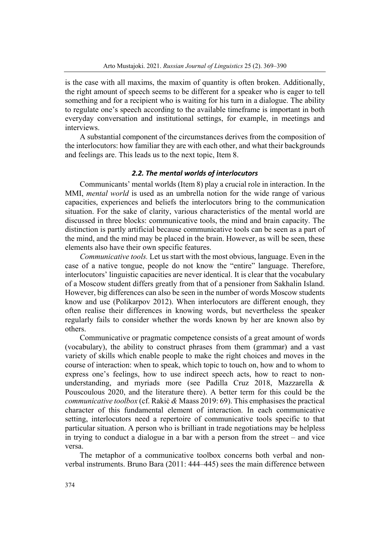is the case with all maxims, the maxim of quantity is often broken. Additionally, the right amount of speech seems to be different for a speaker who is eager to tell something and for a recipient who is waiting for his turn in a dialogue. The ability to regulate one's speech according to the available timeframe is important in both everyday conversation and institutional settings, for example, in meetings and interviews.

A substantial component of the circumstances derives from the composition of the interlocutors: how familiar they are with each other, and what their backgrounds and feelings are. This leads us to the next topic, Item 8.

# *2.2. The mental worlds of interlocutors*

Communicants' mental worlds (Item 8) play a crucial role in interaction. In the MMI, *mental world* is used as an umbrella notion for the wide range of various capacities, experiences and beliefs the interlocutors bring to the communication situation. For the sake of clarity, various characteristics of the mental world are discussed in three blocks: communicative tools, the mind and brain capacity. The distinction is partly artificial because communicative tools can be seen as a part of the mind, and the mind may be placed in the brain. However, as will be seen, these elements also have their own specific features.

*Communicative tools.* Let us start with the most obvious, language. Even in the case of a native tongue, people do not know the "entire" language. Therefore, interlocutors' linguistic capacities are never identical. It is clear that the vocabulary of a Moscow student differs greatly from that of a pensioner from Sakhalin Island. However, big differences can also be seen in the number of words Moscow students know and use (Polikarpov 2012). When interlocutors are different enough, they often realise their differences in knowing words, but nevertheless the speaker regularly fails to consider whether the words known by her are known also by others.

Communicative or pragmatic competence consists of a great amount of words (vocabulary), the ability to construct phrases from them (grammar) and a vast variety of skills which enable people to make the right choices and moves in the course of interaction: when to speak, which topic to touch on, how and to whom to express one's feelings, how to use indirect speech acts, how to react to nonunderstanding, and myriads more (see Padilla Cruz 2018, Mazzarella & Pouscoulous 2020, and the literature there). A better term for this could be the *communicative toolbox* (cf. Rakiċ *&* Maass 2019: 69). This emphasises the practical character of this fundamental element of interaction. In each communicative setting, interlocutors need a repertoire of communicative tools specific to that particular situation. A person who is brilliant in trade negotiations may be helpless in trying to conduct a dialogue in a bar with a person from the street – and vice versa.

The metaphor of a communicative toolbox concerns both verbal and nonverbal instruments. Bruno Bara (2011: 444–445) sees the main difference between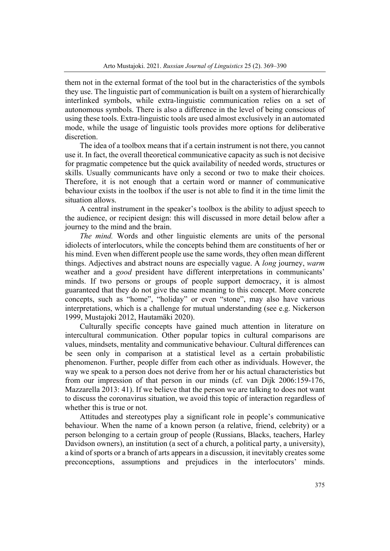them not in the external format of the tool but in the characteristics of the symbols they use. The linguistic part of communication is built on a system of hierarchically interlinked symbols, while extra-linguistic communication relies on a set of autonomous symbols. There is also a difference in the level of being conscious of using these tools. Extra-linguistic tools are used almost exclusively in an automated mode, while the usage of linguistic tools provides more options for deliberative discretion.

The idea of a toolbox means that if a certain instrument is not there, you cannot use it. In fact, the overall theoretical communicative capacity as such is not decisive for pragmatic competence but the quick availability of needed words, structures or skills. Usually communicants have only a second or two to make their choices. Therefore, it is not enough that a certain word or manner of communicative behaviour exists in the toolbox if the user is not able to find it in the time limit the situation allows.

A central instrument in the speaker's toolbox is the ability to adjust speech to the audience, or recipient design: this will discussed in more detail below after a journey to the mind and the brain.

*The mind.* Words and other linguistic elements are units of the personal idiolects of interlocutors, while the concepts behind them are constituents of her or his mind. Even when different people use the same words, they often mean different things. Adjectives and abstract nouns are especially vague. A *long* journey, *warm*  weather and a *good* president have different interpretations in communicants' minds. If two persons or groups of people support democracy, it is almost guaranteed that they do not give the same meaning to this concept. More concrete concepts, such as "home", "holiday" or even "stone", may also have various interpretations, which is a challenge for mutual understanding (see e.g. Nickerson 1999, Mustajoki 2012, Hautamäki 2020).

Culturally specific concepts have gained much attention in literature on intercultural communication. Other popular topics in cultural comparisons are values, mindsets, mentality and communicative behaviour. Cultural differences can be seen only in comparison at a statistical level as a certain probabilistic phenomenon. Further, people differ from each other as individuals. However, the way we speak to a person does not derive from her or his actual characteristics but from our impression of that person in our minds (cf. van Dijk 2006:159-176, Mazzarella 2013: 41). If we believe that the person we are talking to does not want to discuss the coronavirus situation, we avoid this topic of interaction regardless of whether this is true or not.

Attitudes and stereotypes play a significant role in people's communicative behaviour. When the name of a known person (a relative, friend, celebrity) or a person belonging to a certain group of people (Russians, Blacks, teachers, Harley Davidson owners), an institution (a sect of a church, a political party, a university), a kind of sports or a branch of arts appears in a discussion, it inevitably creates some preconceptions, assumptions and prejudices in the interlocutors' minds.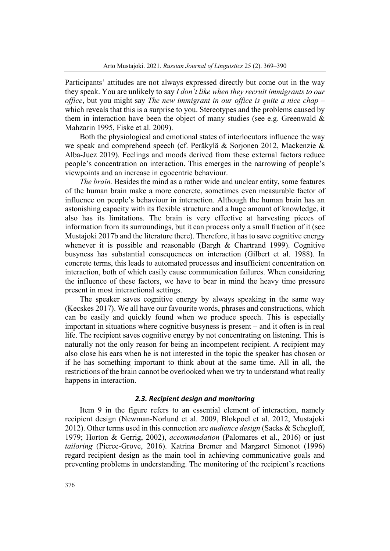Participants' attitudes are not always expressed directly but come out in the way they speak. You are unlikely to say *I don't like when they recruit immigrants to our office*, but you might say *The new immigrant in our office is quite a nice chap* – which reveals that this is a surprise to you. Stereotypes and the problems caused by them in interaction have been the object of many studies (see e.g. Greenwald  $\&$ Mahzarin 1995, Fiske et al. 2009).

Both the physiological and emotional states of interlocutors influence the way we speak and comprehend speech (cf. Peräkylä & Sorjonen 2012, Mackenzie & Alba-Juez 2019). Feelings and moods derived from these external factors reduce people's concentration on interaction. This emerges in the narrowing of people's viewpoints and an increase in egocentric behaviour.

*The brain.* Besides the mind as a rather wide and unclear entity, some features of the human brain make a more concrete, sometimes even measurable factor of influence on people's behaviour in interaction. Although the human brain has an astonishing capacity with its flexible structure and a huge amount of knowledge, it also has its limitations. The brain is very effective at harvesting pieces of information from its surroundings, but it can process only a small fraction of it (see Mustajoki 2017b and the literature there). Therefore, it has to save cognitive energy whenever it is possible and reasonable (Bargh & Chartrand 1999). Cognitive busyness has substantial consequences on interaction (Gilbert et al. 1988). In concrete terms, this leads to automated processes and insufficient concentration on interaction, both of which easily cause communication failures. When considering the influence of these factors, we have to bear in mind the heavy time pressure present in most interactional settings.

The speaker saves cognitive energy by always speaking in the same way (Kecskes 2017). We all have our favourite words, phrases and constructions, which can be easily and quickly found when we produce speech. This is especially important in situations where cognitive busyness is present – and it often is in real life. The recipient saves cognitive energy by not concentrating on listening. This is naturally not the only reason for being an incompetent recipient. A recipient may also close his ears when he is not interested in the topic the speaker has chosen or if he has something important to think about at the same time. All in all, the restrictions of the brain cannot be overlooked when we try to understand what really happens in interaction.

# *2.3. Recipient design and monitoring*

Item 9 in the figure refers to an essential element of interaction, namely recipient design (Newman-Norlund et al. 2009, Blokpoel et al. 2012, Mustajoki 2012). Other terms used in this connection are *audience design* (Sacks & Schegloff, 1979; Horton & Gerrig, 2002), *accommodation* (Palomares et al., 2016) or just *tailoring* (Pierce-Grove, 2016). Katrina Bremer and Margaret Simonot (1996) regard recipient design as the main tool in achieving communicative goals and preventing problems in understanding. The monitoring of the recipient's reactions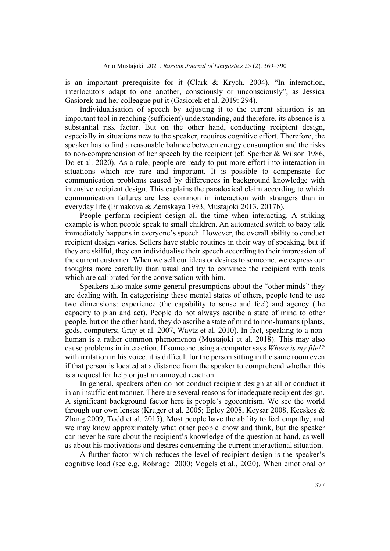is an important prerequisite for it (Clark & Krych, 2004). "In interaction, interlocutors adapt to one another, consciously or unconsciously", as Jessica Gasiorek and her colleague put it (Gasiorek et al. 2019: 294).

Individualisation of speech by adjusting it to the current situation is an important tool in reaching (sufficient) understanding, and therefore, its absence is a substantial risk factor. But on the other hand, conducting recipient design, especially in situations new to the speaker, requires cognitive effort. Therefore, the speaker has to find a reasonable balance between energy consumption and the risks to non-comprehension of her speech by the recipient (cf. Sperber & Wilson 1986, Do et al. 2020). As a rule, people are ready to put more effort into interaction in situations which are rare and important. It is possible to compensate for communication problems caused by differences in background knowledge with intensive recipient design. This explains the paradoxical claim according to which communication failures are less common in interaction with strangers than in everyday life (Ermakova & Zemskaya 1993, Mustajoki 2013, 2017b).

People perform recipient design all the time when interacting. A striking example is when people speak to small children. An automated switch to baby talk immediately happens in everyone's speech. However, the overall ability to conduct recipient design varies. Sellers have stable routines in their way of speaking, but if they are skilful, they can individualise their speech according to their impression of the current customer. When we sell our ideas or desires to someone, we express our thoughts more carefully than usual and try to convince the recipient with tools which are calibrated for the conversation with him.

Speakers also make some general presumptions about the "other minds" they are dealing with. In categorising these mental states of others, people tend to use two dimensions: experience (the capability to sense and feel) and agency (the capacity to plan and act). People do not always ascribe a state of mind to other people, but on the other hand, they do ascribe a state of mind to non-humans (plants, gods, computers; Gray et al. 2007, Waytz et al. 2010). In fact, speaking to a nonhuman is a rather common phenomenon (Mustajoki et al. 2018). This may also cause problems in interaction. If someone using a computer says *Where is my file!?* with irritation in his voice*,* it is difficult for the person sitting in the same room even if that person is located at a distance from the speaker to comprehend whether this is a request for help or just an annoyed reaction.

In general, speakers often do not conduct recipient design at all or conduct it in an insufficient manner. There are several reasons for inadequate recipient design. A significant background factor here is people's egocentrism. We see the world through our own lenses (Kruger et al. 2005; Epley 2008, Keysar 2008, Kecskes & Zhang 2009, Todd et al. 2015). Most people have the ability to feel empathy, and we may know approximately what other people know and think, but the speaker can never be sure about the recipient's knowledge of the question at hand, as well as about his motivations and desires concerning the current interactional situation.

A further factor which reduces the level of recipient design is the speaker's cognitive load (see e.g. Roßnagel 2000; Vogels et al., 2020). When emotional or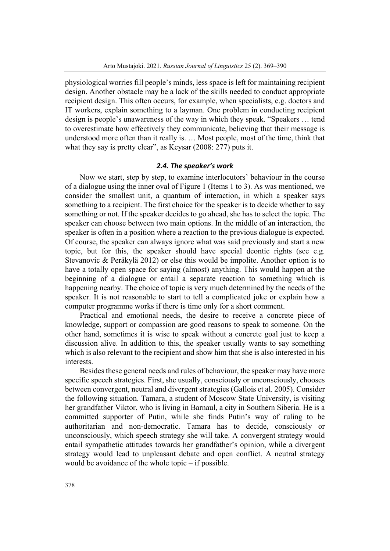physiological worries fill people's minds, less space is left for maintaining recipient design. Another obstacle may be a lack of the skills needed to conduct appropriate recipient design. This often occurs, for example, when specialists, e.g. doctors and IT workers, explain something to a layman. One problem in conducting recipient design is people's unawareness of the way in which they speak. "Speakers … tend to overestimate how effectively they communicate, believing that their message is understood more often than it really is. … Most people, most of the time, think that what they say is pretty clear", as Keysar (2008: 277) puts it.

# *2.4. The speaker's work*

Now we start, step by step, to examine interlocutors' behaviour in the course of a dialogue using the inner oval of Figure 1 (Items 1 to 3). As was mentioned, we consider the smallest unit, a quantum of interaction, in which a speaker says something to a recipient. The first choice for the speaker is to decide whether to say something or not. If the speaker decides to go ahead, she has to select the topic. The speaker can choose between two main options. In the middle of an interaction, the speaker is often in a position where a reaction to the previous dialogue is expected. Of course, the speaker can always ignore what was said previously and start a new topic, but for this, the speaker should have special deontic rights (see e.g. Stevanovic & Peräkylä 2012) or else this would be impolite. Another option is to have a totally open space for saying (almost) anything. This would happen at the beginning of a dialogue or entail a separate reaction to something which is happening nearby. The choice of topic is very much determined by the needs of the speaker. It is not reasonable to start to tell a complicated joke or explain how a computer programme works if there is time only for a short comment.

Practical and emotional needs, the desire to receive a concrete piece of knowledge, support or compassion are good reasons to speak to someone. On the other hand, sometimes it is wise to speak without a concrete goal just to keep a discussion alive. In addition to this, the speaker usually wants to say something which is also relevant to the recipient and show him that she is also interested in his interests.

Besides these general needs and rules of behaviour, the speaker may have more specific speech strategies. First, she usually, consciously or unconsciously, chooses between convergent, neutral and divergent strategies (Gallois et al. 2005). Consider the following situation. Tamara, a student of Moscow State University, is visiting her grandfather Viktor, who is living in Barnaul, a city in Southern Siberia. He is a committed supporter of Putin, while she finds Putin's way of ruling to be authoritarian and non-democratic. Tamara has to decide, consciously or unconsciously, which speech strategy she will take. A convergent strategy would entail sympathetic attitudes towards her grandfather's opinion, while a divergent strategy would lead to unpleasant debate and open conflict. A neutral strategy would be avoidance of the whole topic – if possible.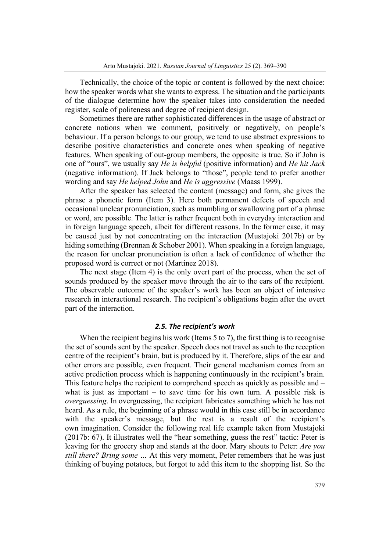Technically, the choice of the topic or content is followed by the next choice: how the speaker words what she wants to express. The situation and the participants of the dialogue determine how the speaker takes into consideration the needed register, scale of politeness and degree of recipient design.

Sometimes there are rather sophisticated differences in the usage of abstract or concrete notions when we comment, positively or negatively, on people's behaviour. If a person belongs to our group, we tend to use abstract expressions to describe positive characteristics and concrete ones when speaking of negative features. When speaking of out-group members, the opposite is true. So if John is one of "ours", we usually say *He is helpful* (positive information) and *He hit Jack*  (negative information). If Jack belongs to "those", people tend to prefer another wording and say *He helped John* and *He is aggressive* (Maass 1999).

After the speaker has selected the content (message) and form, she gives the phrase a phonetic form (Item 3). Here both permanent defects of speech and occasional unclear pronunciation, such as mumbling or swallowing part of a phrase or word, are possible. The latter is rather frequent both in everyday interaction and in foreign language speech, albeit for different reasons. In the former case, it may be caused just by not concentrating on the interaction (Mustajoki 2017b) or by hiding something (Brennan & Schober 2001). When speaking in a foreign language, the reason for unclear pronunciation is often a lack of confidence of whether the proposed word is correct or not (Martinez 2018).

The next stage (Item 4) is the only overt part of the process, when the set of sounds produced by the speaker move through the air to the ears of the recipient. The observable outcome of the speaker's work has been an object of intensive research in interactional research. The recipient's obligations begin after the overt part of the interaction.

# *2.5. The recipient's work*

When the recipient begins his work (Items 5 to 7), the first thing is to recognise the set of sounds sent by the speaker. Speech does not travel as such to the reception centre of the recipient's brain, but is produced by it. Therefore, slips of the ear and other errors are possible, even frequent. Their general mechanism comes from an active prediction process which is happening continuously in the recipient's brain. This feature helps the recipient to comprehend speech as quickly as possible and – what is just as important  $-$  to save time for his own turn. A possible risk is *overguessing*. In overguessing, the recipient fabricates something which he has not heard. As a rule, the beginning of a phrase would in this case still be in accordance with the speaker's message, but the rest is a result of the recipient's own imagination. Consider the following real life example taken from Mustajoki (2017b: 67). It illustrates well the "hear something, guess the rest" tactic: Peter is leaving for the grocery shop and stands at the door. Mary shouts to Peter: *Are you still there? Bring some …* At this very moment, Peter remembers that he was just thinking of buying potatoes, but forgot to add this item to the shopping list. So the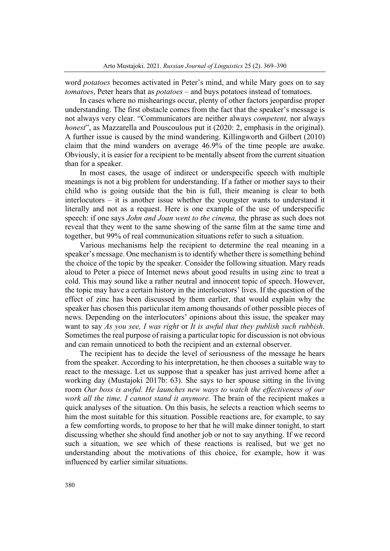word *potatoes* becomes activated in Peter's mind, and while Mary goes on to say *tomatoes*, Peter hears that as *potatoes* – and buys potatoes instead of tomatoes.

In cases where no mishearings occur, plenty of other factors jeopardise proper understanding. The first obstacle comes from the fact that the speaker's message is not always very clear. "Communicators are neither always *competent,* nor always *honest*", as Mazzarella and Pouscoulous put it (2020: 2, emphasis in the original). A further issue is caused by the mind wandering. Killingworth and Gilbert (2010) claim that the mind wanders on average 46.9% of the time people are awake. Obviously, it is easier for a recipient to be mentally absent from the current situation than for a speaker.

In most cases, the usage of indirect or underspecific speech with multiple meanings is not a big problem for understanding. If a father or mother says to their child who is going outside that the bin is full, their meaning is clear to both interlocutors – it is another issue whether the youngster wants to understand it literally and not as a request. Here is one example of the use of underspecific speech: if one says *John and Joan went to the cinema,* the phrase as such does not reveal that they went to the same showing of the same film at the same time and together, but 99% of real communication situations refer to such a situation.

Various mechanisms help the recipient to determine the real meaning in a speaker's message. One mechanism is to identify whether there is something behind the choice of the topic by the speaker. Consider the following situation. Mary reads aloud to Peter a piece of Internet news about good results in using zinc to treat a cold. This may sound like a rather neutral and innocent topic of speech. However, the topic may have a certain history in the interlocutors' lives. If the question of the effect of zinc has been discussed by them earlier, that would explain why the speaker has chosen this particular item among thousands of other possible pieces of news. Depending on the interlocutors' opinions about this issue, the speaker may want to say *As you see, I was right* or *It is awful that they publish such rubbish*. Sometimes the real purpose of raising a particular topic for discussion is not obvious and can remain unnoticed to both the recipient and an external observer.

The recipient has to decide the level of seriousness of the message he hears from the speaker. According to his interpretation, he then chooses a suitable way to react to the message. Let us suppose that a speaker has just arrived home after a working day (Mustajoki 2017b: 63). She says to her spouse sitting in the living room *Our boss is awful. He launches new ways to watch the effectiveness of our work all the time. I cannot stand it anymore.* The brain of the recipient makes a quick analyses of the situation. On this basis, he selects a reaction which seems to him the most suitable for this situation. Possible reactions are, for example, to say a few comforting words, to propose to her that he will make dinner tonight, to start discussing whether she should find another job or not to say anything. If we record such a situation, we see which of these reactions is realised, but we get no understanding about the motivations of this choice, for example, how it was influenced by earlier similar situations.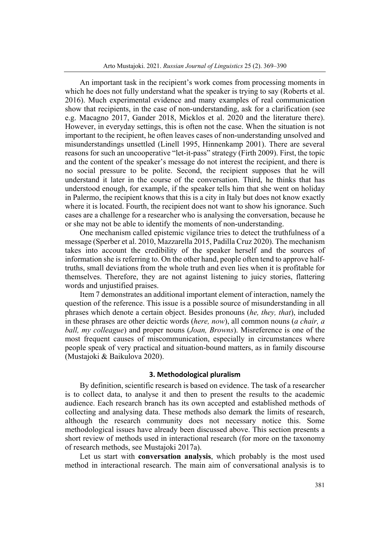An important task in the recipient's work comes from processing moments in which he does not fully understand what the speaker is trying to say (Roberts et al. 2016). Much experimental evidence and many examples of real communication show that recipients, in the case of non-understanding, ask for a clarification (see e.g. Macagno 2017, Gander 2018, Micklos et al. 2020 and the literature there). However, in everyday settings, this is often not the case. When the situation is not important to the recipient, he often leaves cases of non-understanding unsolved and misunderstandings unsettled (Linell 1995, Hinnenkamp 2001). There are several reasons for such an uncooperative "let-it-pass" strategy (Firth 2009). First, the topic and the content of the speaker's message do not interest the recipient, and there is no social pressure to be polite. Second, the recipient supposes that he will understand it later in the course of the conversation. Third, he thinks that has understood enough, for example, if the speaker tells him that she went on holiday in Palermo, the recipient knows that this is a city in Italy but does not know exactly where it is located. Fourth, the recipient does not want to show his ignorance. Such cases are a challenge for a researcher who is analysing the conversation, because he or she may not be able to identify the moments of non-understanding.

One mechanism called epistemic vigilance tries to detect the truthfulness of a message (Sperber et al. 2010, Mazzarella 2015, Padilla Cruz 2020). The mechanism takes into account the credibility of the speaker herself and the sources of information she is referring to. On the other hand, people often tend to approve halftruths, small deviations from the whole truth and even lies when it is profitable for themselves. Therefore, they are not against listening to juicy stories, flattering words and unjustified praises.

Item 7 demonstrates an additional important element of interaction, namely the question of the reference. This issue is a possible source of misunderstanding in all phrases which denote a certain object. Besides pronouns (*he, they, that*), included in these phrases are other deictic words (*here, now*), all common nouns (*a chair, a ball, my colleague*) and proper nouns (*Joan, Browns*). Misreference is one of the most frequent causes of miscommunication, especially in circumstances where people speak of very practical and situation-bound matters, as in family discourse (Mustajoki & Baikulova 2020).

## **3. Methodological pluralism**

By definition, scientific research is based on evidence. The task of a researcher is to collect data, to analyse it and then to present the results to the academic audience. Each research branch has its own accepted and established methods of collecting and analysing data. These methods also demark the limits of research, although the research community does not necessary notice this. Some methodological issues have already been discussed above. This section presents a short review of methods used in interactional research (for more on the taxonomy of research methods, see Mustajoki 2017a).

Let us start with **conversation analysis**, which probably is the most used method in interactional research. The main aim of conversational analysis is to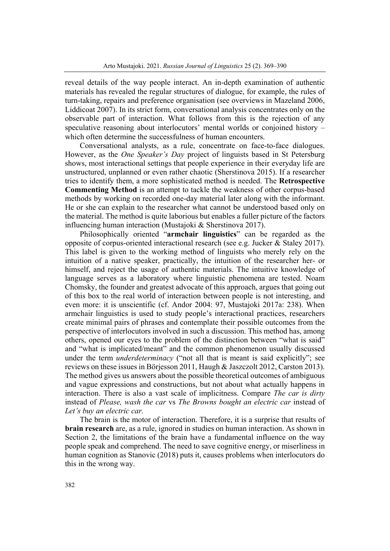reveal details of the way people interact. An in-depth examination of authentic materials has revealed the regular structures of dialogue, for example, the rules of turn-taking, repairs and preference organisation (see overviews in Mazeland 2006, Liddicoat 2007). In its strict form, conversational analysis concentrates only on the observable part of interaction. What follows from this is the rejection of any speculative reasoning about interlocutors' mental worlds or conjoined history – which often determine the successfulness of human encounters.

Conversational analysts, as a rule, concentrate on face-to-face dialogues. However, as the *One Speaker's Day* project of linguists based in St Petersburg shows, most interactional settings that people experience in their everyday life are unstructured, unplanned or even rather chaotic (Sherstinova 2015). If a researcher tries to identify them, a more sophisticated method is needed. The **Retrospective Commenting Method** is an attempt to tackle the weakness of other corpus-based methods by working on recorded one-day material later along with the informant. He or she can explain to the researcher what cannot be understood based only on the material. The method is quite laborious but enables a fuller picture of the factors influencing human interaction (Mustajoki & Sherstinova 2017).

Philosophically oriented "**armchair linguistics**" can be regarded as the opposite of corpus-oriented interactional research (see e.g. Jucker & Staley 2017). This label is given to the working method of linguists who merely rely on the intuition of a native speaker, practically, the intuition of the researcher her- or himself, and reject the usage of authentic materials. The intuitive knowledge of language serves as a laboratory where linguistic phenomena are tested. Noam Chomsky, the founder and greatest advocate of this approach, argues that going out of this box to the real world of interaction between people is not interesting, and even more: it is unscientific (cf. Andor 2004: 97, Mustajoki 2017a: 238). When armchair linguistics is used to study people's interactional practices, researchers create minimal pairs of phrases and contemplate their possible outcomes from the perspective of interlocutors involved in such a discussion. This method has, among others, opened our eyes to the problem of the distinction between "what is said" and "what is implicated/meant" and the common phenomenon usually discussed under the term *underdeterminacy* ("not all that is meant is said explicitly"; see reviews on these issues in Börjesson 2011, Haugh & Jaszczolt 2012, Carston 2013). The method gives us answers about the possible theoretical outcomes of ambiguous and vague expressions and constructions, but not about what actually happens in interaction. There is also a vast scale of implicitness. Compare *The car is dirty*  instead of *Please, wash the car* vs *The Browns bought an electric car* instead of *Let's buy an electric car.* 

The brain is the motor of interaction. Therefore, it is a surprise that results of **brain research** are, as a rule, ignored in studies on human interaction. As shown in Section 2, the limitations of the brain have a fundamental influence on the way people speak and comprehend. The need to save cognitive energy, or miserliness in human cognition as Stanovic (2018) puts it, causes problems when interlocutors do this in the wrong way.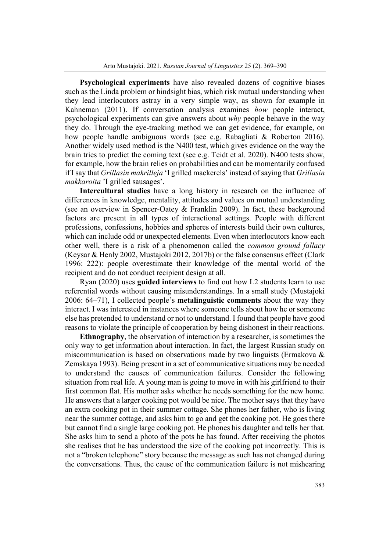**Psychological experiments** have also revealed dozens of cognitive biases such as the Linda problem or hindsight bias, which risk mutual understanding when they lead interlocutors astray in a very simple way, as shown for example in Kahneman (2011). If conversation analysis examines *how* people interact, psychological experiments can give answers about *why* people behave in the way they do. Through the eye-tracking method we can get evidence, for example, on how people handle ambiguous words (see e.g. Rabagliati & Roberton 2016). Another widely used method is the N400 test, which gives evidence on the way the brain tries to predict the coming text (see e.g. Teidt et al. 2020). N400 tests show, for example, how the brain relies on probabilities and can be momentarily confused if I say that *Grillasin makrilleja* 'I grilled mackerels' instead of saying that *Grillasin makkaroita* 'I grilled sausages'.

**Intercultural studies** have a long history in research on the influence of differences in knowledge, mentality, attitudes and values on mutual understanding (see an overview in Spencer-Oatey & Franklin 2009). In fact, these background factors are present in all types of interactional settings. People with different professions, confessions, hobbies and spheres of interests build their own cultures, which can include odd or unexpected elements. Even when interlocutors know each other well, there is a risk of a phenomenon called the *common ground fallacy*  (Keysar & Henly 2002, Mustajoki 2012, 2017b) or the false consensus effect (Clark 1996: 222): people overestimate their knowledge of the mental world of the recipient and do not conduct recipient design at all.

Ryan (2020) uses **guided interviews** to find out how L2 students learn to use referential words without causing misunderstandings. In a small study (Mustajoki 2006: 64–71), I collected people's **metalinguistic comments** about the way they interact. I was interested in instances where someone tells about how he or someone else has pretended to understand or not to understand. I found that people have good reasons to violate the principle of cooperation by being dishonest in their reactions.

**Ethnography**, the observation of interaction by a researcher, is sometimes the only way to get information about interaction. In fact, the largest Russian study on miscommunication is based on observations made by two linguists (Ermakova  $\&$ Zemskaya 1993). Being present in a set of communicative situations may be needed to understand the causes of communication failures. Consider the following situation from real life. A young man is going to move in with his girlfriend to their first common flat. His mother asks whether he needs something for the new home. He answers that a larger cooking pot would be nice. The mother says that they have an extra cooking pot in their summer cottage. She phones her father, who is living near the summer cottage, and asks him to go and get the cooking pot. He goes there but cannot find a single large cooking pot. He phones his daughter and tells her that. She asks him to send a photo of the pots he has found. After receiving the photos she realises that he has understood the size of the cooking pot incorrectly. This is not a "broken telephone" story because the message as such has not changed during the conversations. Thus, the cause of the communication failure is not mishearing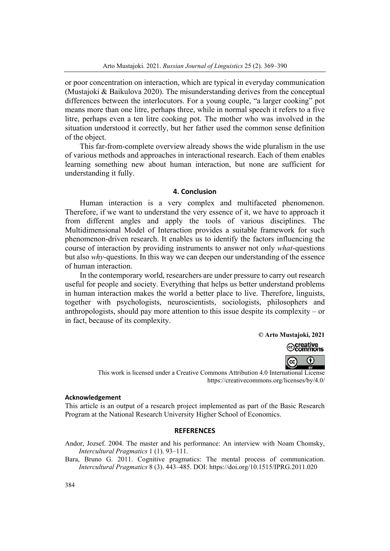or poor concentration on interaction, which are typical in everyday communication (Mustajoki & Baikulova 2020). The misunderstanding derives from the conceptual differences between the interlocutors. For a young couple, "a larger cooking" pot means more than one litre, perhaps three, while in normal speech it refers to a five litre, perhaps even a ten litre cooking pot. The mother who was involved in the situation understood it correctly, but her father used the common sense definition of the object.

This far-from-complete overview already shows the wide pluralism in the use of various methods and approaches in interactional research. Each of them enables learning something new about human interaction, but none are sufficient for understanding it fully.

## **4. Conclusion**

Human interaction is a very complex and multifaceted phenomenon. Therefore, if we want to understand the very essence of it, we have to approach it from different angles and apply the tools of various disciplines. The Multidimensional Model of Interaction provides a suitable framework for such phenomenon-driven research. It enables us to identify the factors influencing the course of interaction by providing instruments to answer not only *what*-questions but also *why-*questions. In this way we can deepen our understanding of the essence of human interaction.

In the contemporary world, researchers are under pressure to carry out research useful for people and society. Everything that helps us better understand problems in human interaction makes the world a better place to live. Therefore, linguists, together with psychologists, neuroscientists, sociologists, philosophers and anthropologists, should pay more attention to this issue despite its complexity – or in fact, because of its complexity.

**© Arto Mustajoki, 2021** 



This work is licensed under a Creative Commons Attribution 4.0 International License https://creativecommons.org/licenses/by/4.0/

#### **Acknowledgement**

This article is an output of a research project implemented as part of the Basic Research Program at the National Research University Higher School of Economics.

#### **REFERENCES**

- Andor, Jozsef. 2004. The master and his performance: An interview with Noam Chomsky, *Intercultural Pragmatics* 1 (1). 93–111.
- Bara, Bruno G. 2011. Cognitive pragmatics: The mental process of communication. *Intercultural Pragmatics* 8 (3). 443–485. DOI: https://doi.org/10.1515/IPRG.2011.020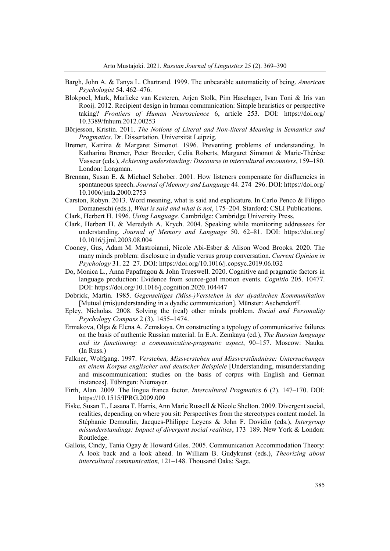- Bargh, John A. & Tanya L. Chartrand. 1999. The unbearable automaticity of being. *American Psychologist* 54. 462–476.
- Blokpoel, Mark, Marlieke van Kesteren, Arjen Stolk, Pim Haselager, Ivan Toni & Iris van Rooij. 2012. Recipient design in human communication: Simple heuristics or perspective taking? *Frontiers of Human Neuroscience* 6, article 253. DOI: https://doi.org/ 10.3389/fnhum.2012.00253
- Börjesson, Kristin. 2011. *The Notions of Literal and Non-literal Meaning in Semantics and Pragmatics*. Dr. Dissertation. Universität Leipzig.
- Bremer, Katrina & Margaret Simonot. 1996. Preventing problems of understanding. In Katharina Bremer, Peter Broeder, Celia Roberts, Margaret Simonot & Marie-Thérèse Vasseur (eds.), *Achieving understanding: Discourse in intercultural encounters*, 159–180. London: Longman.
- Brennan, Susan E. & Michael Schober. 2001. How listeners compensate for disfluencies in spontaneous speech. *Journal of Memory and Language* 44. 274–296. DOI: https://doi.org/ 10.1006/jmla.2000.2753
- Carston, Robyn. 2013. Word meaning, what is said and explicature. In Carlo Penco & Filippo Domaneschi (eds.), *What is said and what is not*, 175–204. Stanford: CSLI Publications.
- Clark, Herbert H. 1996. *Using Language.* Cambridge: Cambridge University Press.
- Clark, Herbert H. & Meredyth A. Krych. 2004. Speaking while monitoring addressees for understanding. *Journal of Memory and Language* 50. 62–81. DOI: https://doi.org/ 10.1016/j.jml.2003.08.004
- Cooney, Gus, Adam M. Mastroianni, Nicole Abi-Esber & Alison Wood Brooks. 2020. The many minds problem: disclosure in dyadic versus group conversation. *Current Opinion in Psychology* 31. 22–27. DOI: https://doi.org/10.1016/j.copsyc.2019.06.032
- Do, Monica L., Anna Papafragou & John Trueswell. 2020. Cognitive and pragmatic factors in language production: Evidence from source-goal motion events. *Cognitio* 205. 10477. DOI: https://doi.org/10.1016/j.cognition.2020.104447
- Dobrick, Martin. 1985. *Gegenseitiges (Miss-)Verstehen in der dyadischen Kommunikation* [Mutual (mis)understanding in a dyadic communication]. Münster: Aschendorff.
- Epley, Nicholas. 2008. Solving the (real) other minds problem. *Social and Personality Psycholog*y *Compass* 2 (3). 1455–1474.
- Ermakova, Olga & Elena A. Zemskaya. On constructing a typology of communicative failures on the basis of authentic Russian material. In E.A. Zemkaya (ed.), *The Russian language and its functioning: a communicative-pragmatic aspect*, 90–157. Moscow: Nauka. (In Russ.)
- Falkner, Wolfgang. 1997. *Verstehen, Missverstehen und Missverständnisse: Untersuchungen an einem Korpus englischer und deutscher Beispiele* [Understanding, misunderstanding and miscommunication: studies on the basis of corpus with English and German instances]. Tübingen: Niemayer.
- Firth, Alan. 2009. The lingua franca factor. *Intercultural Pragmatics* 6 (2). 147–170. DOI: https://10.1515/IPRG.2009.009
- Fiske, Susan T., Lasana T. Harris, Ann Marie Russell & Nicole Shelton. 2009. Divergent social, realities, depending on where you sit: Perspectives from the stereotypes content model. In Stéphanie Demoulin, Jacques-Philippe Leyens & John F. Dovidio (eds.), *Intergroup misunderstandings: Impact of divergent social realities*, 173–189. New York & London: Routledge.
- Gallois, Cindy, Tania Ogay & Howard Giles. 2005. Communication Accommodation Theory: A look back and a look ahead. In William B. Gudykunst (eds.), *Theorizing about intercultural communication,* 121–148. Thousand Oaks: Sage.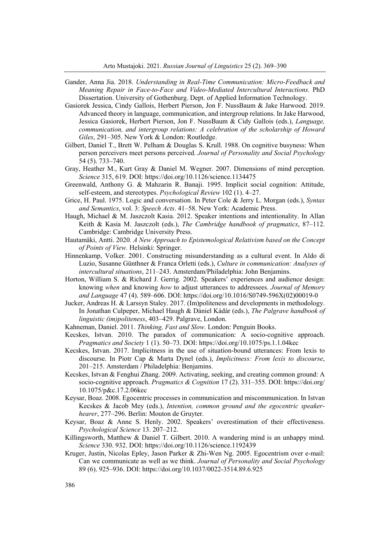- Gander, Anna Jia. 2018. *Understanding in Real-Time Communication: Micro-Feedback and Meaning Repair in Face-to-Face and Video-Mediated Intercultural Interactions.* PhD Dissertation. University of Gothenburg. Dept. of Applied Information Technology.
- Gasiorek Jessica, Cindy Gallois, Herbert Pierson, Jon F. NussBaum & Jake Harwood. 2019. Advanced theory in language, communication, and intergroup relations. In Jake Harwood, Jessica Gasiorek, Herbert Pierson, Jon F. NussBaum & Cidy Gallois (eds.), *Language, communication, and intergroup relations: A celebration of the scholarship of Howard Giles*, 291–305. New York & London: Routledge.
- Gilbert, Daniel T., Brett W. Pelham & Douglas S. Krull. 1988. On cognitive busyness: When person perceivers meet persons perceived. *Journal of Personality and Social Psychology* 54 (5). 733–740.
- Gray, Heather M., Kurt Gray & Daniel M. Wegner. 2007. Dimensions of mind perception. *Science* 315, 619. DOI: https://doi.org/10.1126/science.1134475
- Greenwald, Anthony G. & Mahzarin R. Banaji. 1995. Implicit social cognition: Attitude, self-esteem, and stereotypes. *Psychological Review* 102 (1). 4–27.
- Grice, H. Paul. 1975. Logic and conversation. In Peter Cole & Jerry L. Morgan (eds.), *Syntax and Semantics*, vol. 3: *Speech Acts*. 41–58. New York: Academic Press.
- Haugh, Michael & M. Jaszczolt Kasia. 2012. Speaker intentions and intentionality. In Allan Keith & Kasia M. Jaszczolt (eds.), *The Cambridge handbook of pragmatics*, 87–112. Cambridge: Cambridge University Press.
- Hautamäki, Antti. 2020*. A New Approach to Epistemological Relativism based on the Concept of Points of View.* Helsinki: Springer.
- Hinnenkamp, Volker. 2001. Constructing misunderstanding as a cultural event. In Aldo di Luzio, Susanne Günthner & Franca Orletti (eds.), *Culture in communication: Analyses of intercultural situations*, 211–243. Amsterdam/Philadelphia: John Benjamins.
- Horton, William S. & Richard J. Gerrig. 2002. Speakers' experiences and audience design: knowing *when* and knowing *how* to adjust utterances to addressees. *Journal of Memory and Language* 47 (4). 589–606. DOI: https://doi.org/10.1016/S0749-596X(02)00019-0
- Jucker, Andreas H. & Larssyn Staley. 2017. (Im)politeness and developments in methodology. In Jonathan Culpeper, Michael Haugh & Dániel Kádár (eds.), *The Palgrave handbook of linguistic (im)politeness*, 403–429. Palgrave, London.
- Kahneman, Daniel. 2011. *Thinking, Fast and Slow.* London: Penguin Books.
- Kecskes, Istvan. 2010. The paradox of communication: A socio-cognitive approach. *Pragmatics and Society* 1 (1). 50–73. DOI: https://doi.org/10.1075/ps.1.1.04kec
- Kecskes, Istvan. 2017. Implicitness in the use of situation-bound utterances: From lexis to discourse. In Piotr Cap & Marta Dynel (eds.), *Implicitness: From lexis to discourse*, 201–215. Amsterdam / Philadelphia: Benjamins.
- Kecskes, Istvan & Fenghui Zhang. 2009. Activating, seeking, and creating common ground: A socio-cognitive approach. *Pragmatics & Cognition* 17 (2). 331–355. DOI: https://doi.org/ 10.1075/p&c.17.2.06kec
- Keysar, Boaz. 2008. Egocentric processes in communication and miscommunication. In Istvan Kecskes & Jacob Mey (eds.), *Intention, common ground and the egocentric speakerhearer*, 277–296. Berlin: Mouton de Gruyter.
- Keysar, Boaz & Anne S. Henly. 2002. Speakers' overestimation of their effectiveness. *Psychological Science* 13. 207–212.
- Killingsworth, Matthew & Daniel T. Gilbert. 2010. A wandering mind is an unhappy mind. *Science* 330. 932. DOI: https://doi.org/10.1126/science.1192439
- Kruger, Justin, Nicolas Epley, Jason Parker & Zhi-Wen Ng. 2005. Egocentrism over e-mail: Can we communicate as well as we think. *Journal of Personality and Social Psychology*  89 (6). 925–936. DOI: https://doi.org/10.1037/0022-3514.89.6.925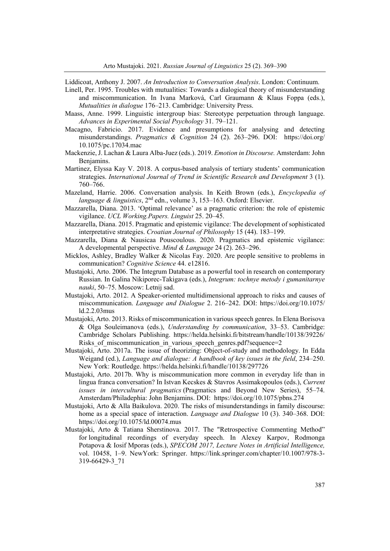Liddicoat, Anthony J. 2007. *An Introduction to Conversation Analysis*. London: Continuum.

- Linell, Per. 1995. Troubles with mutualities: Towards a dialogical theory of misunderstanding and miscommunication. In Ivana Marková, Carl Graumann & Klaus Foppa (eds.), *Mutualities in dialogue* 176–213. Cambridge: University Press.
- Maass, Anne. 1999. Linguistic intergroup bias: Stereotype perpetuation through language. *Advances in Experimental Social Psychology* 31. 79–121.
- Macagno, Fabricio. 2017. Evidence and presumptions for analysing and detecting misunderstandings. *Pragmatics & Cognition* 24 (2). 263–296. DOI: https://doi.org/ 10.1075/pc.17034.mac
- Mackenzie, J. Lachan & Laura Alba-Juez (eds.). 2019. *Emotion in Discourse.* Amsterdam: John Benjamins.
- Martinez, Elyssa Kay V. 2018. A corpus-based analysis of tertiary students' communication strategies. *International Journal of Trend in Scientific Research and Development* 3 (1). 760–766.
- Mazeland, Harrie. 2006. Conversation analysis. In Keith Brown (eds.), *Encyclopedia of language & linguistics*, 2nd edn., volume 3, 153–163. Oxford: Elsevier.
- Mazzarella, Diana. 2013. 'Optimal relevance' as a pragmatic criterion: the role of epistemic vigilance. *UCL Working.Papers. Linguist* 25. 20–45.
- Mazzarella, Diana. 2015. Pragmatic and epistemic vigilance: The development of sophisticated interpretative strategies. *Croatian Journal of Philosophy* 15 (44). 183–199.
- Mazzarella, Diana & Nausicaa Pouscoulous. 2020. Pragmatics and epistemic vigilance: A developmental perspective. *Mind & Language* 24 (2). 263–296.
- Micklos, Ashley, Bradley Walker & Nicolas Fay. 2020. Are people sensitive to problems in communication? *Cognitive Science* 44. e12816.
- Mustajoki, Arto. 2006. The Integrum Database as a powerful tool in research on contemporary Russian. In Galina Nikiporec-Takigava (eds.), *Integrum: tochnye metody i gumanitarnye nauki*, 50–75. Moscow: Letnij sad.
- Mustajoki, Arto. 2012. A Speaker-oriented multidimensional approach to risks and causes of miscommunication. *Language and Dialogue* 2. 216–242. DOI: https://doi.org/10.1075/ ld.2.2.03mus
- Mustajoki, Arto. 2013. Risks of miscommunication in various speech genres. In Elena Borisova & Olga Souleimanova (eds.), *Understanding by communication*, 33–53. Cambridge: Cambridge Scholars Publishing. https://helda.helsinki.fi/bitstream/handle/10138/39226/ Risks of miscommunication in various speech genres.pdf?sequence=2
- Mustajoki, Arto. 2017a. The issue of theorizing: Object-of-study and methodology. In Edda Weigand (ed.), *Language and dialogue: A handbook of key issues in the field*, 234–250. New York: Routledge. https://helda.helsinki.fi/handle/10138/297726
- Mustajoki, Arto. 2017b. Why is miscommunication more common in everyday life than in lingua franca conversation? In Istvan Kecskes & Stavros Assimakopoulos (eds.), *Current issues in intercultural pragmatics* (Pragmatics and Beyond New Series), 55–74. Amsterdam/Philadephia: John Benjamins. DOI: https://doi.org/10.1075/pbns.274
- Mustajoki, Arto & Alla Baikulova. 2020. The risks of misunderstandings in family discourse: home as a special space of interaction. *Language and Dialogue* 10 (3). 340–368. DOI: https://doi.org/10.1075/ld.00074.mus
- Mustajoki, Arto & Tatiana Sherstinova. 2017. The "Retrospective Commenting Method" for longitudinal recordings of everyday speech. In Alexey Karpov, Rodmonga Potapova & Iosif Mporas (eds.), *SPECOM 2017, Lecture Notes in Artificial Intelligence,*  vol. 10458, 1–9. NewYork: Springer. https://link.springer.com/chapter/10.1007/978-3- 319-66429-3\_71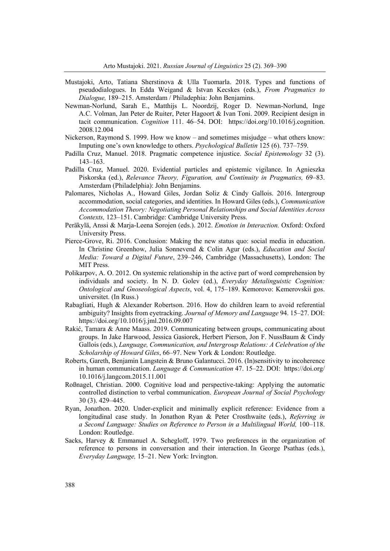- Mustajoki, Arto, Tatiana Sherstinova & Ulla Tuomarla. 2018. Types and functions of pseudodialogues. In Edda Weigand & Istvan Kecskes (eds.), *From Pragmatics to Dialogue,* 189–215. Amsterdam / Philadephia: John Benjamins.
- Newman-Norlund, Sarah E., Matthijs L. Noordzij, Roger D. Newman-Norlund, Inge A.C. Volman, Jan Peter de Ruiter, Peter Hagoort & Ivan Toni. 2009. Recipient design in tacit communication. *Cognition* 111. 46–54. DOI: https://doi.org/10.1016/j.cognition. 2008.12.004
- Nickerson, Raymond S. 1999. How we know and sometimes misjudge what others know: Imputing one's own knowledge to others. *Psychological Bulletin* 125 (6). 737–759.
- Padilla Cruz, Manuel. 2018. Pragmatic competence injustice. *Social Epistemology* 32 (3). 143–163.
- Padilla Cruz, Manuel. 2020. Evidential particles and epistemic vigilance. In Agnieszka Piskorska (ed.), *Relevance Theory, Figuration, and Continuity in Pragmatics,* 69–83. Amsterdam (Philadelphia): John Benjamins.
- Palomares, Nicholas A., Howard Giles, Jordan Soliz & Cindy Gallois. 2016. Intergroup accommodation, social categories, and identities. In Howard Giles (eds.), *Communication Accommodation Theory: Negotiating Personal Relationships and Social Identities Across Contexts,* 123–151. Cambridge: Cambridge University Press.
- Peräkylä, Anssi & Marja-Leena Sorojen (eds.). 2012. *Emotion in Interaction.* Oxford: Oxford University Press.
- Pierce-Grove, Ri. 2016. Conclusion: Making the new status quo: social media in education. In Christine Greenhow, Julia Sonnevend & Colin Agur (eds.), *Education and Social Media: Toward a Digital Future*, 239–246, Cambridge (Massachusetts), London: The MIT Press.
- Polikarpov, A. O. 2012. On systemic relationship in the active part of word comprehension by individuals and society. In N. D. Golev (ed.), *Everyday Metalinguistic Cognition: Ontological and Gnoseological Aspects*, vol. 4, 175–189. Kemorovo: Kemerovskii gos. universitet. (In Russ.)
- Rabagliati, Hugh & Alexander Robertson. 2016. How do children learn to avoid referential ambiguity? Insights from eyetracking. *Journal of Memory and Language* 94. 15–27. DOI: https://doi.org/10.1016/j.jml.2016.09.007
- Rakić, Tamara & Anne Maass. 2019. Communicating between groups, communicating about groups. In Jake Harwood, Jessica Gasiorek, Herbert Pierson, Jon F. NussBaum & Cindy Gallois (eds.), *Language, Communication, and Intergroup Relations: A Celebration of the Scholarship of Howard Giles*, 66–97. New York & London: Routledge.
- Roberts, Gareth, Benjamin Langstein & Bruno Galantucci. 2016. (In)sensitivity to incoherence in human communication. *Language & Communication* 47. 15–22. DOI: https://doi.org/ 10.1016/j.langcom.2015.11.001
- Roßnagel, Christian. 2000. Cognitive load and perspective-taking: Applying the automatic controlled distinction to verbal communication. *European Journal of Social Psychology* 30 (3). 429–445.
- Ryan, Jonathon. 2020. Under-explicit and minimally explicit reference: Evidence from a longitudinal case study. In Jonathon Ryan & Peter Crosthwaite (eds.), *Referring in a Second Language: Studies on Reference to Person in a Multilingual World,* 100–118. London: Routledge.
- Sacks, Harvey & Emmanuel A. Schegloff, 1979. Two preferences in the organization of reference to persons in conversation and their interaction. In George Psathas (eds.), *Everyday Language,* 15–21. New York: Irvington.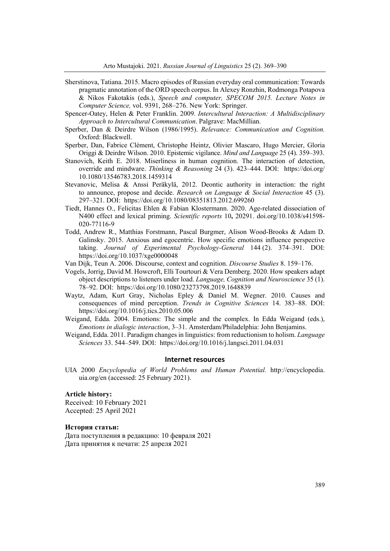- Sherstinova, Tatiana. 2015. Macro episodes of Russian everyday oral communication: Towards pragmatic annotation of the ORD speech corpus. In Alexey Ronzhin, Rodmonga Potapova & Nikos Fakotakis (eds.), *Speech and computer, SPECOM 2015. Lecture Notes in Computer Science,* vol. 9391, 268–276. New York: Springer.
- Spencer-Oatey, Helen & Peter Franklin. 2009. *Intercultural Interaction: A Multidisciplinary Approach to Intercultural Communication*. Palgrave: MacMillian.
- Sperber, Dan & Deirdre Wilson (1986/1995). *Relevance: Communication and Cognition.*  Oxford: Blackwell.
- Sperber, Dan, Fabrice Clément, Christophe Heintz, Olivier Mascaro, Hugo Mercier, Gloria Origgi & Deirdre Wilson. 2010. Epistemic vigilance. *Mind and Language* 25 (4). 359–393.
- Stanovich, Keith E. 2018. Miserliness in human cognition. The interaction of detection, override and mindware. *Thinking & Reasoning* 24 (3). 423–444. DOI: https://doi.org/ 10.1080/13546783.2018.1459314
- Stevanovic, Melisa & Anssi Peräkylä, 2012. Deontic authority in interaction: the right to announce, propose and decide. *Research on Language & Social Interaction* 45 (3). 297–321. DOI: https://doi.org/10.1080/08351813.2012.699260
- Tiedt, Hannes O., Felicitas Ehlen & Fabian Klostermann. 2020. Age-related dissociation of N400 effect and lexical priming. *Scientific reports* 10**,** 20291. doi.org/10.1038/s41598- 020-77116-9
- Todd, Andrew R., Matthias Forstmann, Pascal Burgmer, Alison Wood-Brooks & Adam D. Galinsky. 2015. Anxious and egocentric. How specific emotions influence perspective taking. *Journal of Experimental Psychology-General* 144 (2). 374–391. DOI: https://doi.org/10.1037/xge0000048
- Van Dijk, Teun A. 2006. Discourse, context and cognition. *Discourse Studies* 8. 159–176.
- Vogels, Jorrig, David M. Howcroft, Elli Tourtouri & Vera Demberg. 2020. How speakers adapt object descriptions to listeners under load. *Language, Cognition and Neuroscience* 35 (1). 78–92. DOI: https://doi.org/10.1080/23273798.2019.1648839
- Waytz, Adam, Kurt Gray, Nicholas Epley & Daniel M. Wegner. 2010. Causes and consequences of mind perception. *Trends in Cognitive Sciences* 14. 383–88. DOI: https://doi.org/10.1016/j.tics.2010.05.006
- Weigand, Edda. 2004. Emotions: The simple and the complex. In Edda Weigand (eds.), *Emotions in dialogic interaction*, 3–31. Amsterdam/Philadelphia: John Benjamins.
- Weigand, Edda. 2011. Paradigm changes in linguistics: from reductionism to holism. *Language Sciences* 33. 544–549. DOI: https://doi.org/10.1016/j.langsci.2011.04.031

#### **Internet resources**

UIA 2000 *Encyclopedia of World Problems and Human Potential.* http://encyclopedia. uia.org/en (accessed: 25 February 2021).

## **Article history:**

Received: 10 February 2021 Accepted: 25 April 2021

#### **История статьи:**

Дата поступления в редакцию: 10 февраля 2021 Дата принятия к печати: 25 апреля 2021